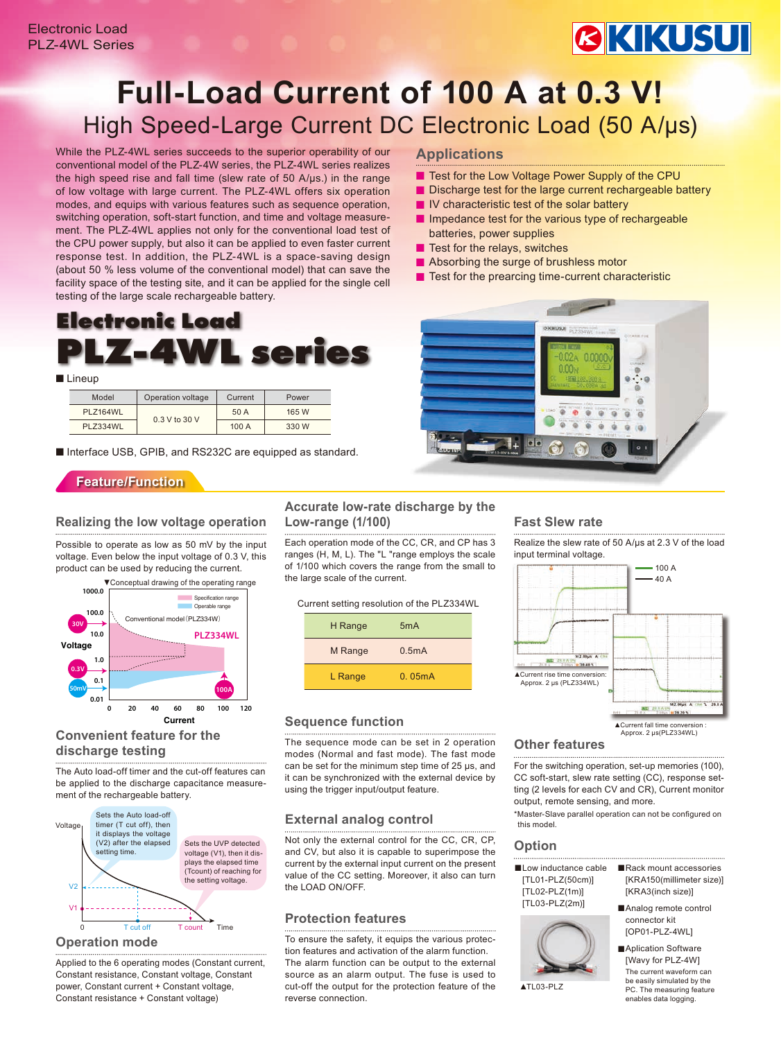# **BKIKUSUI**

## **Full-Load Current of 100 A at 0.3 V!** High Speed-Large Current DC Electronic Load (50 A/μs)

While the PLZ-4WL series succeeds to the superior operability of our conventional model of the PLZ-4W series, the PLZ-4WL series realizes the high speed rise and fall time (slew rate of 50 A/μs.) in the range of low voltage with large current. The PLZ-4WL offers six operation modes, and equips with various features such as sequence operation, switching operation, soft-start function, and time and voltage measurement. The PLZ-4WL applies not only for the conventional load test of the CPU power supply, but also it can be applied to even faster current response test. In addition, the PLZ-4WL is a space-saving design (about 50 % less volume of the conventional model) that can save the facility space of the testing site, and it can be applied for the single cell testing of the large scale rechargeable battery.

### **Electronic Load PLZ-4WL series**

#### ■ Lineup

| Model    | Operation voltage | Current | Power |
|----------|-------------------|---------|-------|
| PLZ164WL | 0.3 V to 30 V     | 50 A    | 165 W |
| PLZ334WL |                   | 100A    | 330 W |

■ Interface USB, GPIB, and RS232C are equipped as standard.

### **Feature/Function**

#### **Realizing the low voltage operation**

Possible to operate as low as 50 mV by the input voltage. Even below the input voltage of 0.3 V, this product can be used by reducing the current.



#### **Convenient feature for the discharge testing**

The Auto load-off timer and the cut-off features can be applied to the discharge capacitance measurement of the rechargeable battery.



#### **Operation mode**

Applied to the 6 operating modes (Constant current, Constant resistance, Constant voltage, Constant power, Constant current + Constant voltage, Constant resistance + Constant voltage)

### **Accurate low-rate discharge by the Low-range (1/100)**

Each operation mode of the CC, CR, and CP has 3 ranges (H, M, L). The "L "range employs the scale of 1/100 which covers the range from the small to the large scale of the current.

| Current setting resolution of the PLZ334WL |  |  |  |  |  |
|--------------------------------------------|--|--|--|--|--|
| H Range<br>5 <sub>m</sub> A                |  |  |  |  |  |
| M Range<br>0.5mA                           |  |  |  |  |  |
| 0.05mA<br>L Range                          |  |  |  |  |  |

#### **Sequence function**

The sequence mode can be set in 2 operation modes (Normal and fast mode). The fast mode can be set for the minimum step time of 25 μs, and it can be synchronized with the external device by using the trigger input/output feature.

#### **External analog control**

Not only the external control for the CC, CR, CP, and CV, but also it is capable to superimpose the current by the external input current on the present value of the CC setting. Moreover, it also can turn the LOAD ON/OFF.

#### **Protection features**

To ensure the safety, it equips the various protection features and activation of the alarm function. The alarm function can be output to the external source as an alarm output. The fuse is used to cut-off the output for the protection feature of the reverse connection.

#### **Applications**

- Test for the Low Voltage Power Supply of the CPU
- Discharge test for the large current rechargeable battery
- IV characteristic test of the solar battery
- Impedance test for the various type of rechargeable batteries, power supplies
- Test for the relays, switches
- Absorbing the surge of brushless motor
- Test for the prearcing time-current characteristic



#### **Fast Slew rate**

Realize the slew rate of 50 A/μs at 2.3 V of the load input terminal voltage.



#### **Other features**

For the switching operation, set-up memories (100), CC soft-start, slew rate setting (CC), response setting (2 levels for each CV and CR), Current monitor output, remote sensing, and more.

\*Master-Slave parallel operation can not be configured on this model.

#### **Option**

■Low inductance cable [TL01-PLZ(50cm)] [TL02-PLZ(1m)] [TL03-PLZ(2m)]



- ■Rack mount accessories [KRA150(millimeter size)] [KRA3(inch size)]
- ■Analog remote control connector kit [OP01-PLZ-4WL]

■Aplication Software [Wavy for PLZ-4W] The current waveform can be easily simulated by the PC. The measuring feature enables data logging.